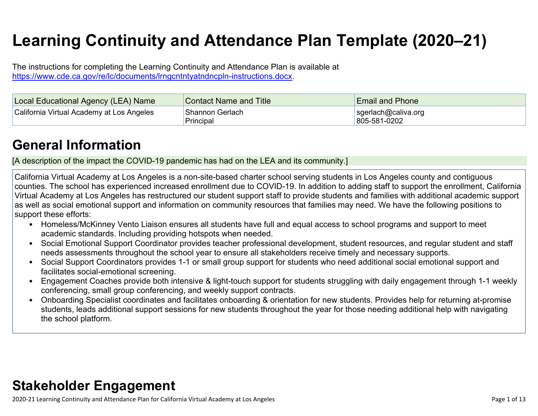# **Learning Continuity and Attendance Plan Template (2020–21)**

The instructions for completing the Learning Continuity and Attendance Plan is available at <https://www.cde.ca.gov/re/lc/documents/lrngcntntyatndncpln-instructions.docx>.

| Local Educational Agency (LEA) Name       | <b>Contact Name and Title</b> | <b>Email and Phone</b>              |
|-------------------------------------------|-------------------------------|-------------------------------------|
| California Virtual Academy at Los Angeles | 'Shannon Gerlach<br>Principal | sgerlach@caliva.org<br>805-581-0202 |

## **General [Information](http://www.doc-tracking.com/screenshots/20LCP/Instructions/20LCPInstructions.htm#generalinformation)**

[A description of the impact the COVID-19 pandemic has had on the LEA and its community.]

California Virtual Academy at Los Angeles is a non-site-based charter school serving students in Los Angeles county and contiguous counties. The school has experienced increased enrollment due to COVID-19. In addition to adding staff to support the enrollment, California Virtual Academy at Los Angeles has restructured our student support staff to provide students and families with additional academic support as well as social emotional support and information on community resources that families may need. We have the following positions to support these efforts:

- Homeless/McKinney Vento Liaison ensures all students have full and equal access to school programs and support to meet academic standards. Including providing hotspots when needed.
- Social Emotional Support Coordinator provides teacher professional development, student resources, and regular student and staff needs assessments throughout the school year to ensure all stakeholders receive timely and necessary supports.
- Social Support Coordinators provides 1-1 or small group support for students who need additional social emotional support and facilitates social-emotional screening.
- Engagement Coaches provide both intensive & light-touch support for students struggling with daily engagement through 1-1 weekly conferencing, small group conferencing, and weekly support contracts.
- Onboarding Specialist coordinates and facilitates onboarding & orientation for new students. Provides help for returning at-promise students, leads additional support sessions for new students throughout the year for those needing additional help with navigating the school platform.

## **Stakeholder [Engagement](http://www.doc-tracking.com/screenshots/20LCP/Instructions/20LCPInstructions.htm#stakeholderengagement)**

2020-21 Learning Continuity and Attendance Plan for California Virtual Academy at Los Angeles Page 1 of 13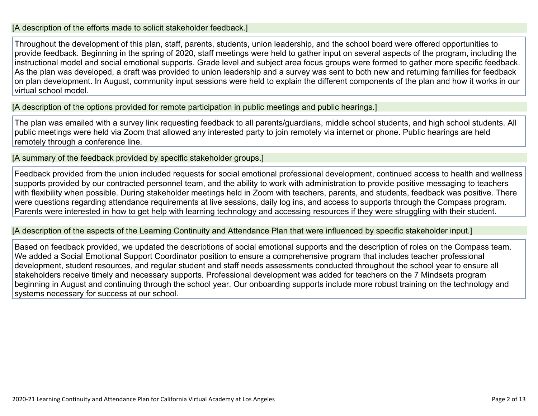#### [A description of the efforts made to solicit stakeholder feedback.]

Throughout the development of this plan, staff, parents, students, union leadership, and the school board were offered opportunities to provide feedback. Beginning in the spring of 2020, staff meetings were held to gather input on several aspects of the program, including the instructional model and social emotional supports. Grade level and subject area focus groups were formed to gather more specific feedback. As the plan was developed, a draft was provided to union leadership and a survey was sent to both new and returning families for feedback on plan development. In August, community input sessions were held to explain the different components of the plan and how it works in our virtual school model.

[A description of the options provided for remote participation in public meetings and public hearings.]

The plan was emailed with a survey link requesting feedback to all parents/guardians, middle school students, and high school students. All public meetings were held via Zoom that allowed any interested party to join remotely via internet or phone. Public hearings are held remotely through a conference line.

[A summary of the feedback provided by specific stakeholder groups.]

Feedback provided from the union included requests for social emotional professional development, continued access to health and wellness supports provided by our contracted personnel team, and the ability to work with administration to provide positive messaging to teachers with flexibility when possible. During stakeholder meetings held in Zoom with teachers, parents, and students, feedback was positive. There were questions regarding attendance requirements at live sessions, daily log ins, and access to supports through the Compass program. Parents were interested in how to get help with learning technology and accessing resources if they were struggling with their student.

[A description of the aspects of the Learning Continuity and Attendance Plan that were influenced by specific stakeholder input.]

Based on feedback provided, we updated the descriptions of social emotional supports and the description of roles on the Compass team. We added a Social Emotional Support Coordinator position to ensure a comprehensive program that includes teacher professional development, student resources, and regular student and staff needs assessments conducted throughout the school year to ensure all stakeholders receive timely and necessary supports. Professional development was added for teachers on the 7 Mindsets program beginning in August and continuing through the school year. Our onboarding supports include more robust training on the technology and systems necessary for success at our school.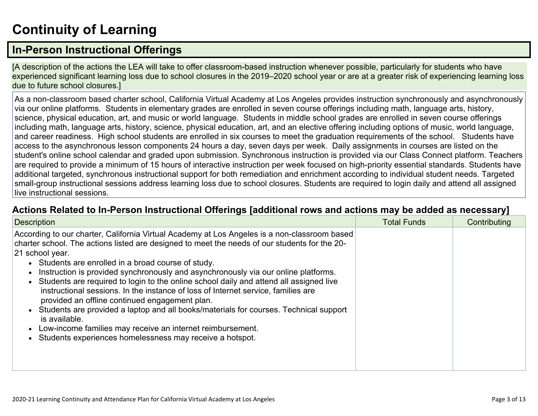# **[Continuity](http://www.doc-tracking.com/screenshots/20LCP/Instructions/20LCPInstructions.htm#ContinuityofLearning) of Learnin[g](http://www.doc-tracking.com/screenshots/20LCP/Instructions/20LCPInstructions.htm#ContinuityofLearning)**

### **In-Person [Instructional](http://www.doc-tracking.com/screenshots/20LCP/Instructions/20LCPInstructions.htm#ContinuityofLearning1) Offerings**

[A description of the actions the LEA will take to offer classroom-based instruction whenever possible, particularly for students who have experienced significant learning loss due to school closures in the 2019–2020 school year or are at a greater risk of experiencing learning loss due to future school closures.]

As a non-classroom based charter school, California Virtual Academy at Los Angeles provides instruction synchronously and asynchronously via our online platforms. Students in elementary grades are enrolled in seven course offerings including math, language arts, history, science, physical education, art, and music or world language. Students in middle school grades are enrolled in seven course offerings including math, language arts, history, science, physical education, art, and an elective offering including options of music, world language, and career readiness. High school students are enrolled in six courses to meet the graduation requirements of the school. Students have access to the asynchronous lesson components 24 hours a day, seven days per week. Daily assignments in courses are listed on the student's online school calendar and graded upon submission. Synchronous instruction is provided via our Class Connect platform. Teachers are required to provide a minimum of 15 hours of interactive instruction per week focused on high-priority essential standards. Students have additional targeted, synchronous instructional support for both remediation and enrichment according to individual student needs. Targeted small-group instructional sessions address learning loss due to school closures. Students are required to login daily and attend all assigned live instructional sessions.

#### **Actions Related to In-Person [Instructional](http://www.doc-tracking.com/screenshots/20LCP/Instructions/20LCPInstructions.htm#ContinuityofLearning2) Offerings [additional rows and actions may be added as necessary]**

| <b>Description</b>                                                                                                                                                                                                                                                                                                                                                                                                                                                                                                                                                                                                                                                                                                                                                                                                                 | <b>Total Funds</b> | Contributing |
|------------------------------------------------------------------------------------------------------------------------------------------------------------------------------------------------------------------------------------------------------------------------------------------------------------------------------------------------------------------------------------------------------------------------------------------------------------------------------------------------------------------------------------------------------------------------------------------------------------------------------------------------------------------------------------------------------------------------------------------------------------------------------------------------------------------------------------|--------------------|--------------|
| According to our charter, California Virtual Academy at Los Angeles is a non-classroom based<br>charter school. The actions listed are designed to meet the needs of our students for the 20-<br>21 school year.<br>• Students are enrolled in a broad course of study.<br>Instruction is provided synchronously and asynchronously via our online platforms.<br>Students are required to login to the online school daily and attend all assigned live<br>instructional sessions. In the instance of loss of Internet service, families are<br>provided an offline continued engagement plan.<br>Students are provided a laptop and all books/materials for courses. Technical support<br>is available.<br>Low-income families may receive an internet reimbursement.<br>Students experiences homelessness may receive a hotspot. |                    |              |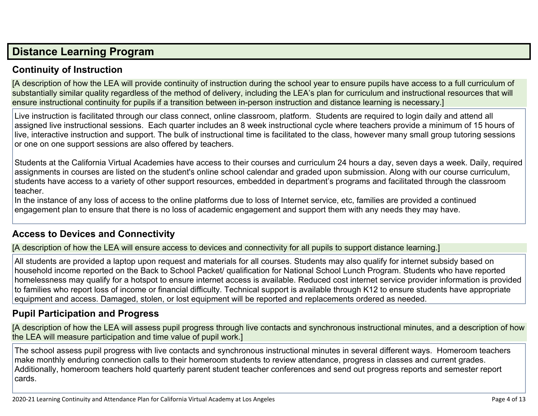### **Distance [Learning](http://www.doc-tracking.com/screenshots/20LCP/Instructions/20LCPInstructions.htm#DistanceLearningProgram) Program**

#### **Continuity of [Instruction](http://www.doc-tracking.com/screenshots/20LCP/Instructions/20LCPInstructions.htm#DistanceLearningProgram1)**

[A description of how the LEA will provide continuity of instruction during the school year to ensure pupils have access to a full curriculum of substantially similar quality regardless of the method of delivery, including the LEA's plan for curriculum and instructional resources that will ensure instructional continuity for pupils if a transition between in-person instruction and distance learning is necessary.]

Live instruction is facilitated through our class connect, online classroom, platform. Students are required to login daily and attend all assigned live instructional sessions. Each quarter includes an 8 week instructional cycle where teachers provide a minimum of 15 hours of live, interactive instruction and support. The bulk of instructional time is facilitated to the class, however many small group tutoring sessions or one on one support sessions are also offered by teachers.

Students at the California Virtual Academies have access to their courses and curriculum 24 hours a day, seven days a week. Daily, required assignments in courses are listed on the student's online school calendar and graded upon submission. Along with our course curriculum, students have access to a variety of other support resources, embedded in department's programs and facilitated through the classroom teacher.

In the instance of any loss of access to the online platforms due to loss of Internet service, etc, families are provided a continued engagement plan to ensure that there is no loss of academic engagement and support them with any needs they may have.

#### **Access to Devices and [Connectivity](http://www.doc-tracking.com/screenshots/20LCP/Instructions/20LCPInstructions.htm#DistanceLearningProgram2)**

[A description of how the LEA will ensure access to devices and connectivity for all pupils to support distance learning.]

All students are provided a laptop upon request and materials for all courses. Students may also qualify for internet subsidy based on household income reported on the Back to School Packet/ qualification for National School Lunch Program. Students who have reported homelessness may qualify for a hotspot to ensure internet access is available. Reduced cost internet service provider information is provided to families who report loss of income or financial difficulty. Technical support is available through K12 to ensure students have appropriate equipment and access. Damaged, stolen, or lost equipment will be reported and replacements ordered as needed.

#### **Pupil [Participation](http://www.doc-tracking.com/screenshots/20LCP/Instructions/20LCPInstructions.htm#DistanceLearningProgram3) and Progress**

[A description of how the LEA will assess pupil progress through live contacts and synchronous instructional minutes, and a description of how the LEA will measure participation and time value of pupil work.]

The school assess pupil progress with live contacts and synchronous instructional minutes in several different ways. Homeroom teachers make monthly enduring connection calls to their homeroom students to review attendance, progress in classes and current grades. Additionally, homeroom teachers hold quarterly parent student teacher conferences and send out progress reports and semester report cards.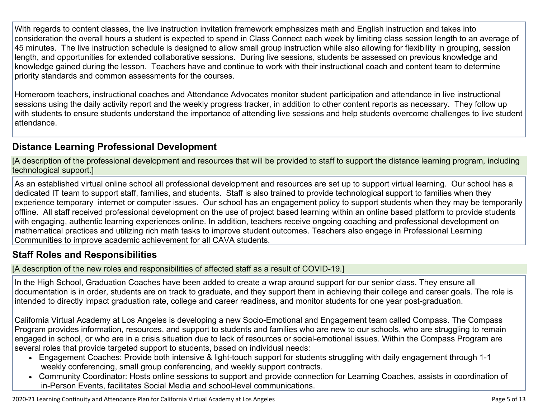With regards to content classes, the live instruction invitation framework emphasizes math and English instruction and takes into consideration the overall hours a student is expected to spend in Class Connect each week by limiting class session length to an average of 45 minutes. The live instruction schedule is designed to allow small group instruction while also allowing for flexibility in grouping, session length, and opportunities for extended collaborative sessions. During live sessions, students be assessed on previous knowledge and knowledge gained during the lesson. Teachers have and continue to work with their instructional coach and content team to determine priority standards and common assessments for the courses.

Homeroom teachers, instructional coaches and Attendance Advocates monitor student participation and attendance in live instructional sessions using the daily activity report and the weekly progress tracker, in addition to other content reports as necessary. They follow up with students to ensure students understand the importance of attending live sessions and help students overcome challenges to live student attendance.

#### **Distance Learning Professional [Development](http://www.doc-tracking.com/screenshots/20LCP/Instructions/20LCPInstructions.htm#DistanceLearningProgram4)**

[A description of the professional development and resources that will be provided to staff to support the distance learning program, including technological support.]

As an established virtual online school all professional development and resources are set up to support virtual learning. Our school has a dedicated IT team to support staff, families, and students. Staff is also trained to provide technological support to families when they experience temporary internet or computer issues. Our school has an engagement policy to support students when they may be temporarily offline. All staff received professional development on the use of project based learning within an online based platform to provide students with engaging, authentic learning experiences online. In addition, teachers receive ongoing coaching and professional development on mathematical practices and utilizing rich math tasks to improve student outcomes. Teachers also engage in Professional Learning Communities to improve academic achievement for all CAVA students.

#### **Staff Roles and [Responsibilities](http://www.doc-tracking.com/screenshots/20LCP/Instructions/20LCPInstructions.htm#DistanceLearningProgram5)**

[A description of the new roles and responsibilities of affected staff as a result of COVID-19.]

In the High School, Graduation Coaches have been added to create a wrap around support for our senior class. They ensure all documentation is in order, students are on track to graduate, and they support them in achieving their college and career goals. The role is intended to directly impact graduation rate, college and career readiness, and monitor students for one year post-graduation.

California Virtual Academy at Los Angeles is developing a new Socio-Emotional and Engagement team called Compass. The Compass Program provides information, resources, and support to students and families who are new to our schools, who are struggling to remain engaged in school, or who are in a crisis situation due to lack of resources or social-emotional issues. Within the Compass Program are several roles that provide targeted support to students, based on individual needs:

- Engagement Coaches: Provide both intensive & light-touch support for students struggling with daily engagement through 1-1 weekly conferencing, small group conferencing, and weekly support contracts.
- Community Coordinator: Hosts online sessions to support and provide connection for Learning Coaches, assists in coordination of in-Person Events, facilitates Social Media and school-level communications.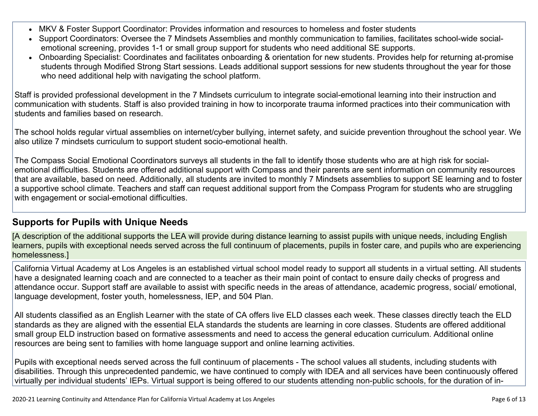- MKV & Foster Support Coordinator: Provides information and resources to homeless and foster students
- Support Coordinators: Oversee the 7 Mindsets Assemblies and monthly communication to families, facilitates school-wide socialemotional screening, provides 1-1 or small group support for students who need additional SE supports.
- Onboarding Specialist: Coordinates and facilitates onboarding & orientation for new students. Provides help for returning at-promise students through Modified Strong Start sessions. Leads additional support sessions for new students throughout the year for those who need additional help with navigating the school platform.

Staff is provided professional development in the 7 Mindsets curriculum to integrate social-emotional learning into their instruction and communication with students. Staff is also provided training in how to incorporate trauma informed practices into their communication with students and families based on research.

The school holds regular virtual assemblies on internet/cyber bullying, internet safety, and suicide prevention throughout the school year. We also utilize 7 mindsets curriculum to support student socio-emotional health.

The Compass Social Emotional Coordinators surveys all students in the fall to identify those students who are at high risk for socialemotional difficulties. Students are offered additional support with Compass and their parents are sent information on community resources that are available, based on need. Additionally, all students are invited to monthly 7 Mindsets assemblies to support SE learning and to foster a supportive school climate. Teachers and staff can request additional support from the Compass Program for students who are struggling with engagement or social-emotional difficulties.

#### **[Supports](http://www.doc-tracking.com/screenshots/20LCP/Instructions/20LCPInstructions.htm#DistanceLearningProgram6) for Pupils with Unique Needs**

[A description of the additional supports the LEA will provide during distance learning to assist pupils with unique needs, including English learners, pupils with exceptional needs served across the full continuum of placements, pupils in foster care, and pupils who are experiencing homelessness.]

California Virtual Academy at Los Angeles is an established virtual school model ready to support all students in a virtual setting. All students have a designated learning coach and are connected to a teacher as their main point of contact to ensure daily checks of progress and attendance occur. Support staff are available to assist with specific needs in the areas of attendance, academic progress, social/ emotional, language development, foster youth, homelessness, IEP, and 504 Plan.

All students classified as an English Learner with the state of CA offers live ELD classes each week. These classes directly teach the ELD standards as they are aligned with the essential ELA standards the students are learning in core classes. Students are offered additional small group ELD instruction based on formative assessments and need to access the general education curriculum. Additional online resources are being sent to families with home language support and online learning activities.

Pupils with exceptional needs served across the full continuum of placements - The school values all students, including students with disabilities. Through this unprecedented pandemic, we have continued to comply with IDEA and all services have been continuously offered virtually per individual students' IEPs. Virtual support is being offered to our students attending non-public schools, for the duration of in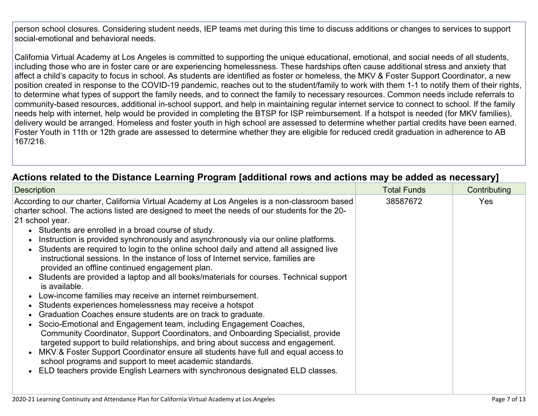person school closures. Considering student needs, IEP teams met during this time to discuss additions or changes to services to support social-emotional and behavioral needs.

California Virtual Academy at Los Angeles is committed to supporting the unique educational, emotional, and social needs of all students, including those who are in foster care or are experiencing homelessness. These hardships often cause additional stress and anxiety that affect a child's capacity to focus in school. As students are identified as foster or homeless, the MKV & Foster Support Coordinator, a new position created in response to the COVID-19 pandemic, reaches out to the student/family to work with them 1-1 to notify them of their rights, to determine what types of support the family needs, and to connect the family to necessary resources. Common needs include referrals to community-based resources, additional in-school support, and help in maintaining regular internet service to connect to school. If the family needs help with internet, help would be provided in completing the BTSP for ISP reimbursement. If a hotspot is needed (for MKV families), delivery would be arranged. Homeless and foster youth in high school are assessed to determine whether partial credits have been earned. Foster Youth in 11th or 12th grade are assessed to determine whether they are eligible for reduced credit graduation in adherence to AB 167/216.

#### **Actions related to the Distance Learning Program [additional rows and actions may be added as [necessary\]](http://www.doc-tracking.com/screenshots/20LCP/Instructions/20LCPInstructions.htm#DistanceLearningProgram7)**

| <b>Description</b>                                                                                                                                                                                                                                                                                                                                                                                                                                                                                                                                                                                                                                                                                                                                                                                                                                                                                                                                                                                                                                                                                                                                                                                                                                                                                                                                                                    | <b>Total Funds</b> | Contributing |
|---------------------------------------------------------------------------------------------------------------------------------------------------------------------------------------------------------------------------------------------------------------------------------------------------------------------------------------------------------------------------------------------------------------------------------------------------------------------------------------------------------------------------------------------------------------------------------------------------------------------------------------------------------------------------------------------------------------------------------------------------------------------------------------------------------------------------------------------------------------------------------------------------------------------------------------------------------------------------------------------------------------------------------------------------------------------------------------------------------------------------------------------------------------------------------------------------------------------------------------------------------------------------------------------------------------------------------------------------------------------------------------|--------------------|--------------|
| According to our charter, California Virtual Academy at Los Angeles is a non-classroom based<br>charter school. The actions listed are designed to meet the needs of our students for the 20-<br>21 school year.<br>• Students are enrolled in a broad course of study.<br>Instruction is provided synchronously and asynchronously via our online platforms.<br>Students are required to login to the online school daily and attend all assigned live<br>instructional sessions. In the instance of loss of Internet service, families are<br>provided an offline continued engagement plan.<br>• Students are provided a laptop and all books/materials for courses. Technical support<br>is available.<br>Low-income families may receive an internet reimbursement.<br>Students experiences homelessness may receive a hotspot<br>Graduation Coaches ensure students are on track to graduate.<br>Socio-Emotional and Engagement team, including Engagement Coaches,<br>Community Coordinator, Support Coordinators, and Onboarding Specialist, provide<br>targeted support to build relationships, and bring about success and engagement.<br>• MKV & Foster Support Coordinator ensure all students have full and equal access to<br>school programs and support to meet academic standards.<br>ELD teachers provide English Learners with synchronous designated ELD classes. | 38587672           | Yes          |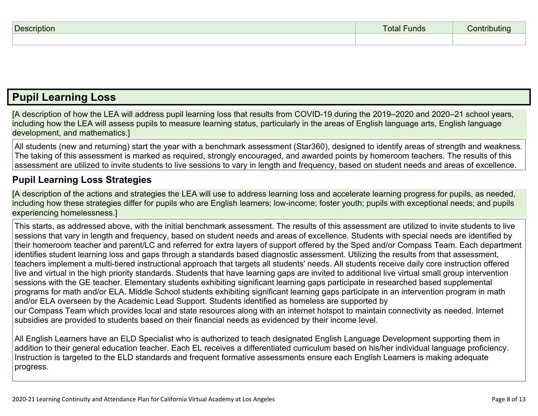| D. | THUS | $\cdots$ |
|----|------|----------|
|    |      |          |

### **Pupil [Learning](http://www.doc-tracking.com/screenshots/20LCP/Instructions/20LCPInstructions.htm#PupilLearningLoss) Loss**

[A description of how the LEA will address pupil learning loss that results from COVID-19 during the 2019–2020 and 2020–21 school years, including how the LEA will assess pupils to measure learning status, particularly in the areas of English language arts, English language development, and mathematics.]

All students (new and returning) start the year with a benchmark assessment (Star360), designed to identify areas of strength and weakness. The taking of this assessment is marked as required, strongly encouraged, and awarded points by homeroom teachers. The results of this assessment are utilized to invite students to live sessions to vary in length and frequency, based on student needs and areas of excellence.

#### **Pupil Learning Loss [Strategies](http://www.doc-tracking.com/screenshots/20LCP/Instructions/20LCPInstructions.htm#PupilLearningLoss1)**

[A description of the actions and strategies the LEA will use to address learning loss and accelerate learning progress for pupils, as needed, including how these strategies differ for pupils who are English learners; low-income; foster youth; pupils with exceptional needs; and pupils experiencing homelessness.]

This starts, as addressed above, with the initial benchmark assessment. The results of this assessment are utilized to invite students to live sessions that vary in length and frequency, based on student needs and areas of excellence. Students with special needs are identified by their homeroom teacher and parent/LC and referred for extra layers of support offered by the Sped and/or Compass Team. Each department identifies student learning loss and gaps through a standards based diagnostic assessment. Utilizing the results from that assessment, teachers implement a multi-tiered instructional approach that targets all students' needs. All students receive daily core instruction offered live and virtual in the high priority standards. Students that have learning gaps are invited to additional live virtual small group intervention sessions with the GE teacher. Elementary students exhibiting significant learning gaps participate in researched based supplemental programs for math and/or ELA. Middle School students exhibiting significant learning gaps participate in an intervention program in math and/or ELA overseen by the Academic Lead Support. Students identified as homeless are supported by our Compass Team which provides local and state resources along with an internet hotspot to maintain connectivity as needed. Internet subsidies are provided to students based on their financial needs as evidenced by their income level.

All English Learners have an ELD Specialist who is authorized to teach designated English Language Development supporting them in addition to their general education teacher. Each EL receives a differentiated curriculum based on his/her individual language proficiency. Instruction is targeted to the ELD standards and frequent formative assessments ensure each English Learners is making adequate progress.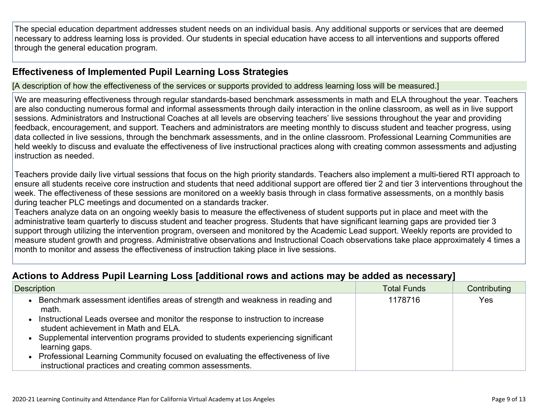The special education department addresses student needs on an individual basis. Any additional supports or services that are deemed necessary to address learning loss is provided. Our students in special education have access to all interventions and supports offered through the general education program.

#### **[Effectiveness](http://www.doc-tracking.com/screenshots/20LCP/Instructions/20LCPInstructions.htm#PupilLearningLoss2) of Implemented Pupil Learning Loss Strategies**

[A description of how the effectiveness of the services or supports provided to address learning loss will be measured.]

We are measuring effectiveness through regular standards-based benchmark assessments in math and ELA throughout the year. Teachers are also conducting numerous formal and informal assessments through daily interaction in the online classroom, as well as in live support sessions. Administrators and Instructional Coaches at all levels are observing teachers' live sessions throughout the year and providing feedback, encouragement, and support. Teachers and administrators are meeting monthly to discuss student and teacher progress, using data collected in live sessions, through the benchmark assessments, and in the online classroom. Professional Learning Communities are held weekly to discuss and evaluate the effectiveness of live instructional practices along with creating common assessments and adjusting instruction as needed.

Teachers provide daily live virtual sessions that focus on the high priority standards. Teachers also implement a multi-tiered RTI approach to ensure all students receive core instruction and students that need additional support are offered tier 2 and tier 3 interventions throughout the week. The effectiveness of these sessions are monitored on a weekly basis through in class formative assessments, on a monthly basis during teacher PLC meetings and documented on a standards tracker.

Teachers analyze data on an ongoing weekly basis to measure the effectiveness of student supports put in place and meet with the administrative team quarterly to discuss student and teacher progress. Students that have significant learning gaps are provided tier 3 support through utilizing the intervention program, overseen and monitored by the Academic Lead support. Weekly reports are provided to measure student growth and progress. Administrative observations and Instructional Coach observations take place approximately 4 times a month to monitor and assess the effectiveness of instruction taking place in live sessions.

#### **Actions to Address Pupil Learning Loss [additional rows and actions may be added as [necessary\]](http://www.doc-tracking.com/screenshots/20LCP/Instructions/20LCPInstructions.htm#PupilLearningLoss4)**

| <b>Description</b>                                                                                                                            | <b>Total Funds</b> | Contributing |
|-----------------------------------------------------------------------------------------------------------------------------------------------|--------------------|--------------|
| Benchmark assessment identifies areas of strength and weakness in reading and<br>math.                                                        | 1178716            | Yes          |
| Instructional Leads oversee and monitor the response to instruction to increase<br>student achievement in Math and ELA.                       |                    |              |
| Supplemental intervention programs provided to students experiencing significant<br>learning gaps.                                            |                    |              |
| • Professional Learning Community focused on evaluating the effectiveness of live<br>instructional practices and creating common assessments. |                    |              |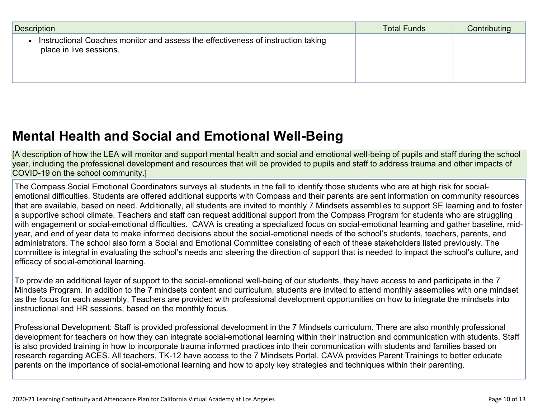| Description                                                                                                 | <b>Total Funds</b> | Contributing |
|-------------------------------------------------------------------------------------------------------------|--------------------|--------------|
| Instructional Coaches monitor and assess the effectiveness of instruction taking<br>place in live sessions. |                    |              |

### **Mental Health and Social and Emotional [Well-Being](http://www.doc-tracking.com/screenshots/20LCP/Instructions/20LCPInstructions.htm#MentalHealthandSocialandEmotional)**

[A description of how the LEA will monitor and support mental health and social and emotional well-being of pupils and staff during the school year, including the professional development and resources that will be provided to pupils and staff to address trauma and other impacts of COVID-19 on the school community.]

The Compass Social Emotional Coordinators surveys all students in the fall to identify those students who are at high risk for socialemotional difficulties. Students are offered additional supports with Compass and their parents are sent information on community resources that are available, based on need. Additionally, all students are invited to monthly 7 Mindsets assemblies to support SE learning and to foster a supportive school climate. Teachers and staff can request additional support from the Compass Program for students who are struggling with engagement or social-emotional difficulties. CAVA is creating a specialized focus on social-emotional learning and gather baseline, midyear, and end of year data to make informed decisions about the social-emotional needs of the school's students, teachers, parents, and administrators. The school also form a Social and Emotional Committee consisting of each of these stakeholders listed previously. The committee is integral in evaluating the school's needs and steering the direction of support that is needed to impact the school's culture, and efficacy of social-emotional learning.

To provide an additional layer of support to the social-emotional well-being of our students, they have access to and participate in the 7 Mindsets Program. In addition to the 7 mindsets content and curriculum, students are invited to attend monthly assemblies with one mindset as the focus for each assembly. Teachers are provided with professional development opportunities on how to integrate the mindsets into instructional and HR sessions, based on the monthly focus.

Professional Development: Staff is provided professional development in the 7 Mindsets curriculum. There are also monthly professional development for teachers on how they can integrate social-emotional learning within their instruction and communication with students. Staff is also provided training in how to incorporate trauma informed practices into their communication with students and families based on research regarding ACES. All teachers, TK-12 have access to the 7 Mindsets Portal. CAVA provides Parent Trainings to better educate parents on the importance of social-emotional learning and how to apply key strategies and techniques within their parenting.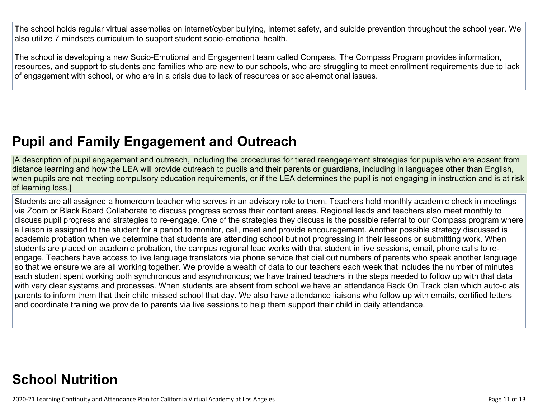The school holds regular virtual assemblies on internet/cyber bullying, internet safety, and suicide prevention throughout the school year. We also utilize 7 mindsets curriculum to support student socio-emotional health.

The school is developing a new Socio-Emotional and Engagement team called Compass. The Compass Program provides information, resources, and support to students and families who are new to our schools, who are struggling to meet enrollment requirements due to lack of engagement with school, or who are in a crisis due to lack of resources or social-emotional issues.

# **Pupil and Family [Engagement](http://www.doc-tracking.com/screenshots/20LCP/Instructions/20LCPInstructions.htm#PupilEngagementandOutreach) and Outreach**

[A description of pupil engagement and outreach, including the procedures for tiered reengagement strategies for pupils who are absent from distance learning and how the LEA will provide outreach to pupils and their parents or guardians, including in languages other than English, when pupils are not meeting compulsory education requirements, or if the LEA determines the pupil is not engaging in instruction and is at risk of learning loss.]

Students are all assigned a homeroom teacher who serves in an advisory role to them. Teachers hold monthly academic check in meetings via Zoom or Black Board Collaborate to discuss progress across their content areas. Regional leads and teachers also meet monthly to discuss pupil progress and strategies to re-engage. One of the strategies they discuss is the possible referral to our Compass program where a liaison is assigned to the student for a period to monitor, call, meet and provide encouragement. Another possible strategy discussed is academic probation when we determine that students are attending school but not progressing in their lessons or submitting work. When students are placed on academic probation, the campus regional lead works with that student in live sessions, email, phone calls to reengage. Teachers have access to live language translators via phone service that dial out numbers of parents who speak another language so that we ensure we are all working together. We provide a wealth of data to our teachers each week that includes the number of minutes each student spent working both synchronous and asynchronous; we have trained teachers in the steps needed to follow up with that data with very clear systems and processes. When students are absent from school we have an attendance Back On Track plan which auto-dials parents to inform them that their child missed school that day. We also have attendance liaisons who follow up with emails, certified letters and coordinate training we provide to parents via live sessions to help them support their child in daily attendance.

# **School [Nutrition](http://www.doc-tracking.com/screenshots/20LCP/Instructions/20LCPInstructions.htm#SchoolNutrition)**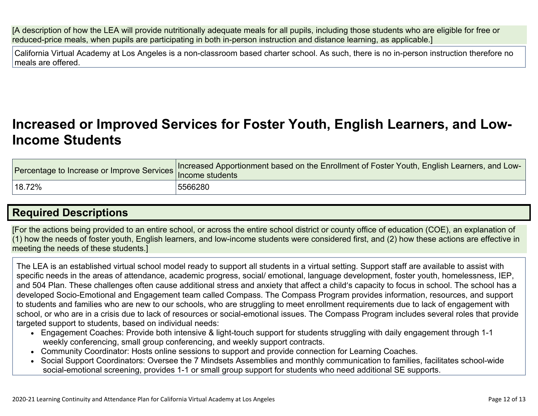[A description of how the LEA will provide nutritionally adequate meals for all pupils, including those students who are eligible for free or reduced-price meals, when pupils are participating in both in-person instruction and distance learning, as applicable.]

California Virtual Academy at Los Angeles is a non-classroom based charter school. As such, there is no in-person instruction therefore no meals are offered.

### **[Increased](http://www.doc-tracking.com/screenshots/20LCP/Instructions/20LCPInstructions.htm#IncreasedorImprovedServices) or Improved Services for Foster Youth, English Learners, and Low-Income [Students](http://www.doc-tracking.com/screenshots/20LCP/Instructions/20LCPInstructions.htm#IncreasedorImprovedServices)**

| Percentage to Increase or Improve Services  "" | Increased Apportionment based on the Enrollment of Foster Youth, English Learners, and Low-<br>Income students |
|------------------------------------------------|----------------------------------------------------------------------------------------------------------------|
| 18.72%                                         | 5566280                                                                                                        |

### **Required [Descriptions](http://www.doc-tracking.com/screenshots/20LCP/Instructions/20LCPInstructions.htm#RequiredDescriptions)**

[For the actions being provided to an entire school, or across the entire school district or county office of education (COE), an explanation of (1) how the needs of foster youth, English learners, and low-income students were considered first, and (2) how these actions are effective in meeting the needs of these students.]

The LEA is an established virtual school model ready to support all students in a virtual setting. Support staff are available to assist with specific needs in the areas of attendance, academic progress, social/ emotional, language development, foster youth, homelessness, IEP, and 504 Plan. These challenges often cause additional stress and anxiety that affect a child's capacity to focus in school. The school has a developed Socio-Emotional and Engagement team called Compass. The Compass Program provides information, resources, and support to students and families who are new to our schools, who are struggling to meet enrollment requirements due to lack of engagement with school, or who are in a crisis due to lack of resources or social-emotional issues. The Compass Program includes several roles that provide targeted support to students, based on individual needs:

- Engagement Coaches: Provide both intensive & light-touch support for students struggling with daily engagement through 1-1 weekly conferencing, small group conferencing, and weekly support contracts.
- Community Coordinator: Hosts online sessions to support and provide connection for Learning Coaches.
- Social Support Coordinators: Oversee the 7 Mindsets Assemblies and monthly communication to families, facilitates school-wide social-emotional screening, provides 1-1 or small group support for students who need additional SE supports.